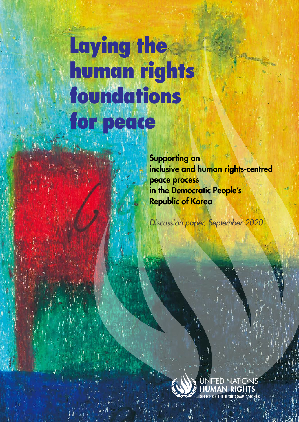# Laying the human rights foundations for peace

Supporting an inclusive and human rights-centred peace process in the Democratic People's Republic of Korea

*Supporting an inclusive and human rights-centred peace process in the Democratic People's Republic of Korea* ●

*Discussion paper, September 2020*

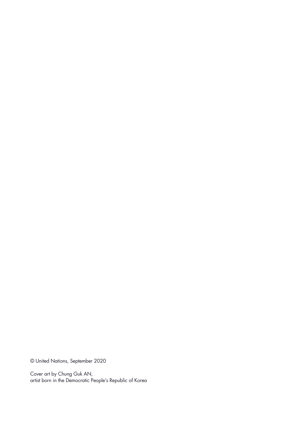© United Nations, September 2020

Cover art by Chung Guk AN, artist born in the Democratic People's Republic of Korea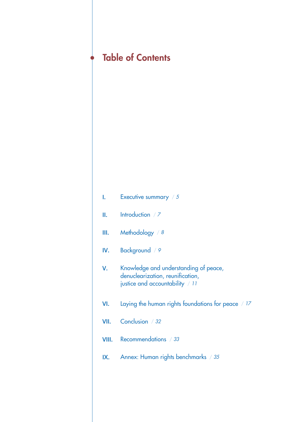| <b>Table of Contents</b> |                                                                                                              |
|--------------------------|--------------------------------------------------------------------------------------------------------------|
|                          |                                                                                                              |
|                          |                                                                                                              |
| L.                       | Executive summary / 5                                                                                        |
| Ш.                       | Introduction $/7$                                                                                            |
| Ш.                       | Methodology / 8                                                                                              |
| IV.                      | Background / 9                                                                                               |
| V.                       | Knowledge and understanding of peace,<br>denuclearization, reunification,<br>justice and accountability / 11 |
| VI.                      | Laying the human rights foundations for peace / 17                                                           |
| VII.                     | Conclusion / 32                                                                                              |
| VIII.                    | Recommendations / 33                                                                                         |
| IX.                      | Annex: Human rights benchmarks / 35                                                                          |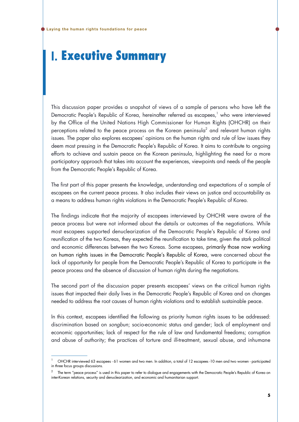# **I.** Executive Summary

This discussion paper provides a snapshot of views of a sample of persons who have left the Democratic People's Republic of Korea, hereinafter referred as escapees,<sup>1</sup> who were interviewed by the Office of the United Nations High Commissioner for Human Rights (OHCHR) on their perceptions related to the peace process on the Korean peninsula<sup>2</sup> and relevant human rights issues. The paper also explores escapees' opinions on the human rights and rule of law issues they deem most pressing in the Democratic People's Republic of Korea. It aims to contribute to ongoing efforts to achieve and sustain peace on the Korean peninsula, highlighting the need for a more participatory approach that takes into account the experiences, viewpoints and needs of the people from the Democratic People's Republic of Korea.

The first part of this paper presents the knowledge, understanding and expectations of a sample of escapees on the current peace process. It also includes their views on justice and accountability as a means to address human rights violations in the Democratic People's Republic of Korea.

The findings indicate that the majority of escapees interviewed by OHCHR were aware of the peace process but were not informed about the details or outcomes of the negotiations. While most escapees supported denuclearization of the Democratic People's Republic of Korea and reunification of the two Koreas, they expected the reunification to take time, given the stark political and economic differences between the two Koreas. Some escapees, primarily those now working on human rights issues in the Democratic People's Republic of Korea, were concerned about the lack of opportunity for people from the Democratic People's Republic of Korea to participate in the peace process and the absence of discussion of human rights during the negotiations.

The second part of the discussion paper presents escapees' views on the critical human rights issues that impacted their daily lives in the Democratic People's Republic of Korea and on changes needed to address the root causes of human rights violations and to establish sustainable peace.

In this context, escapees identified the following as priority human rights issues to be addressed: discrimination based on *songbun*; socio-economic status and gender; lack of employment and economic opportunities; lack of respect for the rule of law and fundamental freedoms; corruption and abuse of authority; the practices of torture and ill-treatment, sexual abuse, and inhumane

OHCHR interviewed 63 escapees - 61 women and two men. In addition, a total of 12 escapees -10 men and two women - participated in three focus groups discussions.

<sup>2</sup> The term "peace process" is used in this paper to refer to dialogue and engagements with the Democratic People's Republic of Korea on inter-Korean relations, security and denuclearization, and economic and humanitarian support.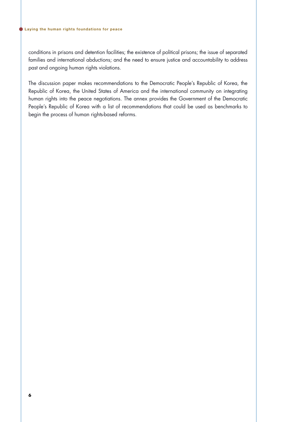conditions in prisons and detention facilities; the existence of political prisons; the issue of separated families and international abductions; and the need to ensure justice and accountability to address past and ongoing human rights violations.

The discussion paper makes recommendations to the Democratic People's Republic of Korea, the Republic of Korea, the United States of America and the international community on integrating human rights into the peace negotiations. The annex provides the Government of the Democratic People's Republic of Korea with a list of recommendations that could be used as benchmarks to begin the process of human rights-based reforms.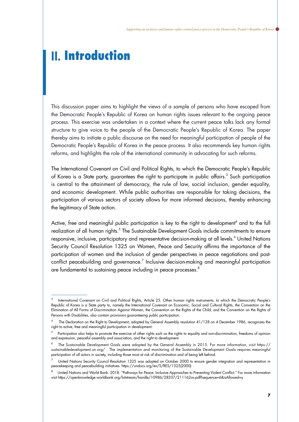# **II.** Introduction

This discussion paper aims to highlight the views of a sample of persons who have escaped from the Democratic People's Republic of Korea on human rights issues relevant to the ongoing peace process. This exercise was undertaken in a context where the current peace talks lack any formal structure to give voice to the people of the Democratic People's Republic of Korea. The paper thereby aims to initiate a public discourse on the need for meaningful participation of people of the Democratic People's Republic of Korea in the peace process. It also recommends key human rights reforms, and highlights the role of the international community in advocating for such reforms.

The International Covenant on Civil and Political Rights, to which the Democratic People's Republic of Korea is a State party, guarantees the right to participate in public affairs. $3$  Such participation is central to the attainment of democracy, the rule of law, social inclusion, gender equality, and economic development. While public authorities are responsible for taking decisions, the participation of various sectors of society allows for more informed decisions, thereby enhancing the legitimacy of State action.

Active, free and meaningful public participation is key to the right to development<sup>4</sup> and to the full realization of all human rights.<sup>5</sup> The Sustainable Development Goals include commitments to ensure responsive, inclusive, participatory and representative decision-making at all levels.<sup>6</sup> United Nations Security Council Resolution 1325 on Women, Peace and Security affirms the importance of the participation of women and the inclusion of gender perspectives in peace negotiations and postconflict peacebuilding and governance.<sup>7</sup> Inclusive decision-making and meaningful participation are fundamental to sustaining peace including in peace processes.<sup>8</sup>

International Covenant on Civil and Political Rights, Article 25. Other human rights instruments, to which the Democratic People's Republic of Korea is a State party to, namely the International Covenant on Economic, Social and Cultural Rights, the Convention on the Elimination of All Forms of Discrimination Against Women, the Convention on the Rights of the Child, and the Convention on the Rights of Persons with Disabilities, also contain provisions guaranteeing public participation.

The Declaration on the Right to Development, adopted by General Assembly resolution 41/128 on 4 December 1986, recognizes the right to active, free and meaningful participation in development.

Participation also helps to promote the exercise of other rights such as the rights to equality and non-discrimination, freedoms of opinion and expression, peaceful assembly and association, and the right to development.

The Sustainable Development Goals were adopted by the General Assembly in 2015. For more information, visit [https://](https://sustainabledevelopment.un.org/) [sustainabledevelopment.un.org/](https://sustainabledevelopment.un.org/) . The implementation and monitoring of the Sustainable Development Goals requires meaningful participation of all actors in society, including those most at risk of discrimination and of being left behind.

<sup>7</sup> United Nations Security Council Resolution 1325 was adopted on October 2000 to ensure gender integration and representation in peacekeeping and peacebuilding initiatives. https://undocs.org/en/S/RES/1325(2000)

<sup>8</sup> United Nations and World Bank. 2018. "Pathways for Peace: Inclusive Approaches to Preventing Violent Conflict." For more information visit https://openknowledge.worldbank.org/bitstream/handle/10986/28337/211162ov.pdf?sequence=6&isAllowed=y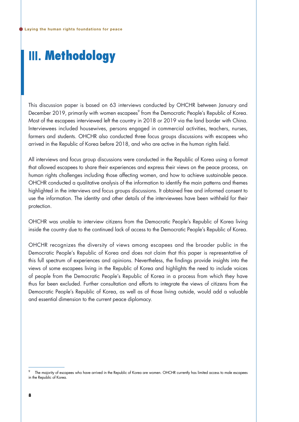# **III.** Methodology

This discussion paper is based on 63 interviews conducted by OHCHR between January and December 2019, primarily with women escapees $^{\circ}$  from the Democratic People's Republic of Korea. Most of the escapees interviewed left the country in 2018 or 2019 via the land border with China. Interviewees included housewives, persons engaged in commercial activities, teachers, nurses, farmers and students. OHCHR also conducted three focus groups discussions with escapees who arrived in the Republic of Korea before 2018, and who are active in the human rights field.

All interviews and focus group discussions were conducted in the Republic of Korea using a format that allowed escapees to share their experiences and express their views on the peace process, on human rights challenges including those affecting women, and how to achieve sustainable peace. OHCHR conducted a qualitative analysis of the information to identify the main patterns and themes highlighted in the interviews and focus groups discussions. It obtained free and informed consent to use the information. The identity and other details of the interviewees have been withheld for their protection.

OHCHR was unable to interview citizens from the Democratic People's Republic of Korea living inside the country due to the continued lack of access to the Democratic People's Republic of Korea.

OHCHR recognizes the diversity of views among escapees and the broader public in the Democratic People's Republic of Korea and does not claim that this paper is representative of this full spectrum of experiences and opinions. Nevertheless, the findings provide insights into the views of some escapees living in the Republic of Korea and highlights the need to include voices of people from the Democratic People's Republic of Korea in a process from which they have thus far been excluded. Further consultation and efforts to integrate the views of citizens from the Democratic People's Republic of Korea, as well as of those living outside, would add a valuable and essential dimension to the current peace diplomacy.

The majority of escapees who have arrived in the Republic of Korea are women. OHCHR currently has limited access to male escapees in the Republic of Korea.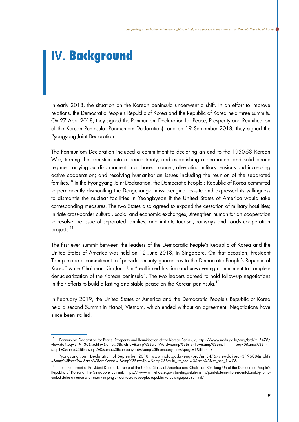# **Ⅳ.** Background

In early 2018, the situation on the Korean peninsula underwent a shift. In an effort to improve relations, the Democratic People's Republic of Korea and the Republic of Korea held three summits. On 27 April 2018, they signed the Panmunjom Declaration for Peace, Prosperity and Reunification of the Korean Peninsula (Panmunjom Declaration), and on 19 September 2018, they signed the Pyongyang Joint Declaration.

The Panmunjom Declaration included a commitment to declaring an end to the 1950-53 Korean War, turning the armistice into a peace treaty, and establishing a permanent and solid peace regime; carrying out disarmament in a phased manner; alleviating military tensions and increasing active cooperation; and resolving humanitarian issues including the reunion of the separated families.<sup>10</sup> In the Pyongyang Joint Declaration, the Democratic People's Republic of Korea committed to permanently dismantling the Dongchang-ri missile-engine test-site and expressed its willingness to dismantle the nuclear facilities in Yeongbyeon if the United States of America would take corresponding measures. The two States also agreed to expand the cessation of military hostilities; initiate cross-border cultural, social and economic exchanges; strengthen humanitarian cooperation to resolve the issue of separated families; and initiate tourism, railways and roads cooperation projects.<sup>11</sup>

The first ever summit between the leaders of the Democratic People's Republic of Korea and the United States of America was held on 12 June 2018, in Singapore. On that occasion, President Trump made a commitment to "provide security guarantees to the Democratic People's Republic of Korea" while Chairman Kim Jong Un "reaffirmed his firm and unwavering commitment to complete denuclearization of the Korean peninsula". The two leaders agreed to hold follow-up negotiations in their efforts to build a lasting and stable peace on the Korean peninsula.<sup>12</sup>

In February 2019, the United States of America and the Democratic People's Republic of Korea held a second Summit in Hanoi, Vietnam, which ended without an agreement. Negotiations have since been stalled.

<sup>&</sup>lt;sup>10</sup> Panmunjom Declaration for Peace, Prosperity and Reunification of the Korean Peninsula, https://www.mofa.go.kr/eng/brd/m\_5478/ view.do?seq=319130&srchFr=&amp%3BsrchTo=&amp%3BsrchWord=&amp%3BsrchTp=&amp%3Bmulti\_itm\_seq=0&amp%3Bitm\_ seq\_1=0&amp%3Bitm\_seq\_2=0&amp%3Bcompany\_cd=&amp%3Bcompany\_nm=&page=1&titleNm=

<sup>11</sup> Pyongyang Joint Declaration of September 2018, www.mofa.go.kr/eng/brd/m\_5476/viewdo?seq=319608&srchFr =&amp%3BsrchTo= &amp%3BsrchWord = &amp%3BsrchTp = &amp%3Bmulti\_itm\_seq = 0&amp%3Bitm\_seq\_1 = 0&

<sup>&</sup>lt;sup>12</sup> Joint Statement of President Donald J. Trump of the United States of America and Chairman Kim Jong Un of the Democratic People's Republic of Korea at the Singapore Summit, https://www.whitehouse.gov/briefings-statements/joint-statement-president-donald-j-trumpunited-states-america-chairman-kim-jong-un-democratic-peoples-republic-korea-singapore-summit/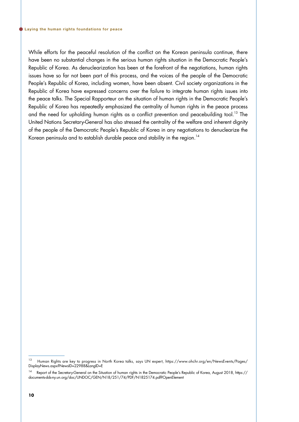While efforts for the peaceful resolution of the conflict on the Korean peninsula continue, there have been no substantial changes in the serious human rights situation in the Democratic People's Republic of Korea. As denuclearization has been at the forefront of the negotiations, human rights issues have so far not been part of this process, and the voices of the people of the Democratic People's Republic of Korea, including women, have been absent. Civil society organizations in the Republic of Korea have expressed concerns over the failure to integrate human rights issues into the peace talks. The Special Rapporteur on the situation of human rights in the Democratic People's Republic of Korea has repeatedly emphasized the centrality of human rights in the peace process and the need for upholding human rights as a conflict prevention and peacebuilding tool.<sup>13</sup> The United Nations Secretary-General has also stressed the centrality of the welfare and inherent dignity of the people of the Democratic People's Republic of Korea in any negotiations to denuclearize the Korean peninsula and to establish durable peace and stability in the region.<sup>14</sup>

<sup>&</sup>lt;sup>13</sup> Human Rights are key to progress in North Korea talks, says UN expert, https://www.ohchr.org/en/NewsEvents/Pages/ DisplayNews.aspx?NewsID=22988&LangID=E

<sup>14</sup> Report of the Secretary-General on the Situation of human rights in the Democratic People's Republic of Korea, August 2018, https:// documents-dds-ny.un.org/doc/UNDOC/GEN/N18/251/74/PDF/N1825174.pdf?OpenElement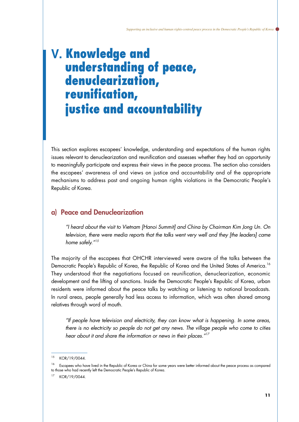# **Ⅴ.** Knowledge and understanding of peace, denuclearization, reunification, justice and accountability

This section explores escapees' knowledge, understanding and expectations of the human rights issues relevant to denuclearization and reunification and assesses whether they had an opportunity to meaningfully participate and express their views in the peace process. The section also considers the escapees' awareness of and views on justice and accountability and of the appropriate mechanisms to address past and ongoing human rights violations in the Democratic People's Republic of Korea.

### a) Peace and Denuclearization

*"I heard about the visit to Vietnam [Hanoi Summit] and China by Chairman Kim Jong Un. On television, there were media reports that the talks went very well and they [the leaders] came home safely."15*

The majority of the escapees that OHCHR interviewed were aware of the talks between the Democratic People's Republic of Korea, the Republic of Korea and the United States of America.<sup>16</sup> They understood that the negotiations focused on reunification, denuclearization, economic development and the lifting of sanctions. Inside the Democratic People's Republic of Korea, urban residents were informed about the peace talks by watching or listening to national broadcasts. In rural areas, people generally had less access to information, which was often shared among relatives through word of mouth.

*"If people have television and electricity, they can know what is happening. In some areas, there is no electricity so people do not get any news. The village people who come to cities hear about it and share the information or news in their places."17*

KOR/19/0044.

<sup>&</sup>lt;sup>16</sup> Escapees who have lived in the Republic of Korea or China for some years were better informed about the peace process as compared to those who had recently left the Democratic People's Republic of Korea.

KOR/19/0044.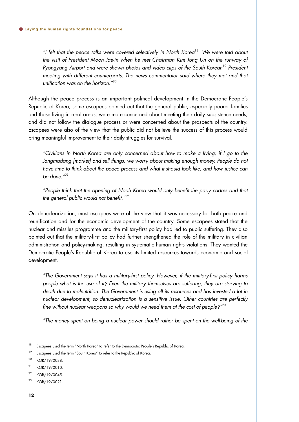*"I felt that the peace talks were covered selectively in North Korea18. We were told about the visit of President Moon Jae-in when he met Chairman Kim Jong Un on the runway of*  Pyongyang Airport and were shown photos and video clips of the South Korean<sup>19</sup> President *meeting with different counterparts. The news commentator said where they met and that unification was on the horizon."20*

Although the peace process is an important political development in the Democratic People's Republic of Korea, some escapees pointed out that the general public, especially poorer families and those living in rural areas, were more concerned about meeting their daily subsistence needs, and did not follow the dialogue process or were concerned about the prospects of the country. Escapees were also of the view that the public did not believe the success of this process would bring meaningful improvement to their daily struggles for survival.

*"Civilians in North Korea are only concerned about how to make a living; if I go to the*  Jangmadang [market] and sell things, we worry about making enough money. People do not *have time to think about the peace process and what it should look like, and how justice can be done."21*

*"People think that the opening of North Korea would only benefit the party cadres and that the general public would not benefit."22* 

On denuclearization, most escapees were of the view that it was necessary for both peace and reunification and for the economic development of the country. Some escapees stated that the nuclear and missiles programme and the military-first policy had led to public suffering. They also pointed out that the military-first policy had further strengthened the role of the military in civilian administration and policy-making, resulting in systematic human rights violations. They wanted the Democratic People's Republic of Korea to use its limited resources towards economic and social development.

*"The Government says it has a military-first policy. However, if the military-first policy harms people what is the use of it? Even the military themselves are suffering; they are starving to death due to malnutrition. The Government is using all its resources and has invested a lot in nuclear development, so denuclearization is a sensitive issue. Other countries are perfectly fine without nuclear weapons so why would we need them at the cost of people?" 23*

*"The money spent on being a nuclear power should rather be spent on the well-being of the* 

<sup>&</sup>lt;sup>18</sup> Escapees used the term "North Korea" to refer to the Democratic People's Republic of Korea.

<sup>&</sup>lt;sup>19</sup> Escapees used the term "South Korea" to refer to the Republic of Korea.

<sup>20</sup> KOR/19/0038.

<sup>21</sup> KOR/19/0010.

<sup>22</sup> KOR/19/0045.

<sup>23</sup> KOR/19/0021.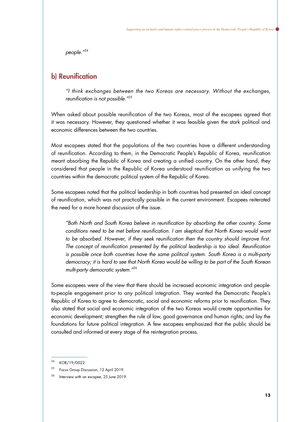*people."24*

### b) Reunification

*"I think exchanges between the two Koreas are necessary. Without the exchanges, reunification is not possible."25*

When asked about possible reunification of the two Koreas, most of the escapees agreed that it was necessary. However, they questioned whether it was feasible given the stark political and economic differences between the two countries.

Most escapees stated that the populations of the two countries have a different understanding of reunification. According to them, in the Democratic People's Republic of Korea, reunification meant absorbing the Republic of Korea and creating a unified country. On the other hand, they considered that people in the Republic of Korea understood reunification as unifying the two countries within the democratic political system of the Republic of Korea.

Some escapees noted that the political leadership in both countries had presented an ideal concept of reunification, which was not practically possible in the current environment. Escapees reiterated the need for a more honest discussion of the issue.

*"Both North and South Korea believe in reunification by absorbing the other country. Some conditions need to be met before reunification. I am skeptical that North Korea would want*  to be absorbed. However, if they seek reunification then the country should improve first. *The concept of reunification presented by the political leadership is too ideal. Reunification is possible once both countries have the same political system. South Korea is a multi-party democracy; it is hard to see that North Korea would be willing to be part of the South Korean multi-party democratic system."26*

Some escapees were of the view that there should be increased economic integration and peopleto-people engagement prior to any political integration. They wanted the Democratic People's Republic of Korea to agree to democratic, social and economic reforms prior to reunification. They also stated that social and economic integration of the two Koreas would create opportunities for economic development; strengthen the rule of law, good governance and human rights; and lay the foundations for future political integration. A few escapees emphasized that the public should be consulted and informed at every stage of the reintegration process.

<sup>24</sup> KOR/19/0022.

<sup>&</sup>lt;sup>25</sup> Focus Group Discussion, 12 April 2019.

<sup>&</sup>lt;sup>26</sup> Interview with an escapee, 25 June 2019.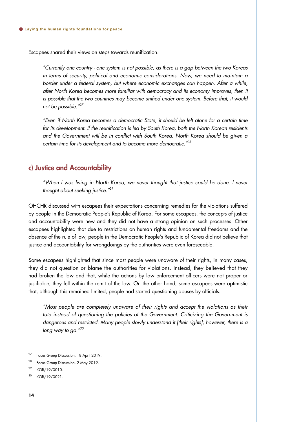Escapees shared their views on steps towards reunification.

*"Currently one country - one system is not possible, as there is a gap between the two Koreas in terms of security, political and economic considerations. Now, we need to maintain a border under a federal system, but where economic exchanges can happen. After a while, after North Korea becomes more familiar with democracy and its economy improves, then it*  is possible that the two countries may become unified under one system. Before that, it would *not be possible."27*

*"Even if North Korea becomes a democratic State, it should be left alone for a certain time for its development. If the reunification is led by South Korea, both the North Korean residents and the Government will be in conflict with South Korea. North Korea should be given a certain time for its development and to become more democratic."28* 

### c) Justice and Accountability

*"When I was living in North Korea, we never thought that justice could be done. I never thought about seeking justice."29*

OHCHR discussed with escapees their expectations concerning remedies for the violations suffered by people in the Democratic People's Republic of Korea. For some escapees, the concepts of justice and accountability were new and they did not have a strong opinion on such processes. Other escapees highlighted that due to restrictions on human rights and fundamental freedoms and the absence of the rule of law, people in the Democratic People's Republic of Korea did not believe that justice and accountability for wrongdoings by the authorities were even foreseeable.

Some escapees highlighted that since most people were unaware of their rights, in many cases, they did not question or blame the authorities for violations. Instead, they believed that they had broken the law and that, while the actions by law enforcement officers were not proper or justifiable, they fell within the remit of the law. On the other hand, some escapees were optimistic that, although this remained limited, people had started questioning abuses by officials.

*"Most people are completely unaware of their rights and accept the violations as their fate instead of questioning the policies of the Government. Criticizing the Government is dangerous and restricted. Many people slowly understand it [their rights]; however, there is a long way to go."30*

<sup>27</sup> Focus Group Discussion, 18 April 2019.

<sup>28</sup> Focus Group Discussion, 2 May 2019.

<sup>29</sup> KOR/19/0010.

<sup>30</sup> KOR/19/0021.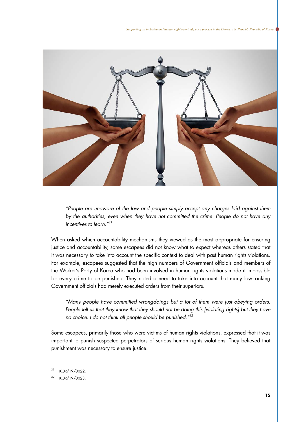*Supporting an inclusive and human rights-centred peace process in the Democratic People's Republic of Korea* 



*"People are unaware of the law and people simply accept any charges laid against them by the authorities, even when they have not committed the crime. People do not have any incentives to learn."31*

When asked which accountability mechanisms they viewed as the most appropriate for ensuring justice and accountability, some escapees did not know what to expect whereas others stated that it was necessary to take into account the specific context to deal with past human rights violations. For example, escapees suggested that the high numbers of Government officials and members of the Worker's Party of Korea who had been involved in human rights violations made it impossible for every crime to be punished. They noted a need to take into account that many low-ranking Government officials had merely executed orders from their superiors.

*"Many people have committed wrongdoings but a lot of them were just obeying orders.*  People tell us that they know that they should not be doing this [violating rights] but they have *no choice. I do not think all people should be punished."32*

Some escapees, primarily those who were victims of human rights violations, expressed that it was important to punish suspected perpetrators of serious human rights violations. They believed that punishment was necessary to ensure justice.

31 KOR/19/0022.

32 KOR/19/0023.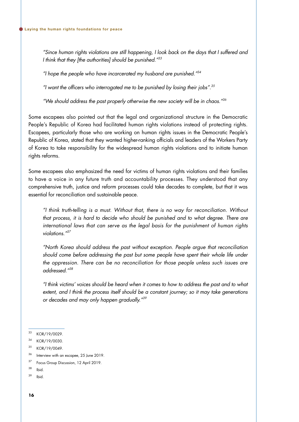*"Since human rights violations are still happening, I look back on the days that I suffered and I think that they [the authorities] should be punished."33*

*"I hope the people who have incarcerated my husband are punished."34*

*"I want the officers who interrogated me to be punished by losing their jobs".35*

*"We should address the past properly otherwise the new society will be in chaos."36*

Some escapees also pointed out that the legal and organizational structure in the Democratic People's Republic of Korea had facilitated human rights violations instead of protecting rights. Escapees, particularly those who are working on human rights issues in the Democratic People's Republic of Korea, stated that they wanted higher-ranking officials and leaders of the Workers Party of Korea to take responsibility for the widespread human rights violations and to initiate human rights reforms.

Some escapees also emphasized the need for victims of human rights violations and their families to have a voice in any future truth and accountability processes. They understood that any comprehensive truth, justice and reform processes could take decades to complete, but that it was essential for reconciliation and sustainable peace.

*"I think truth-telling is a must. Without that, there is no way for reconciliation. Without*  that process, it is hard to decide who should be punished and to what degree. There are *international laws that can serve as the legal basis for the punishment of human rights violations."37*

*"North Korea should address the past without exception. People argue that reconciliation*  should come before addressing the past but some people have spent their whole life under *the oppression. There can be no reconciliation for those people unless such issues are addressed."38*

*"I think victims' voices should be heard when it comes to how to address the past and to what extent, and I think the process itself should be a constant journey; so it may take generations or decades and may only happen gradually."39*

<sup>33</sup> KOR/19/0029.

<sup>34</sup> KOR/19/0030.

<sup>35</sup> KOR/19/0049.

<sup>36</sup> Interview with an escapee, 25 June 2019.

<sup>&</sup>lt;sup>37</sup> Focus Group Discussion, 12 April 2019.

<sup>38</sup> Ibid.

<sup>39</sup> Ibid.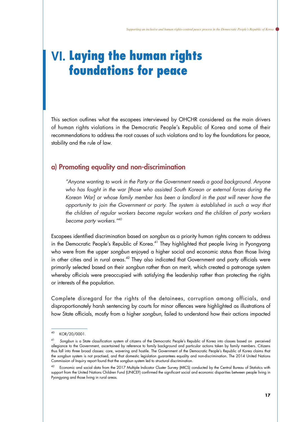# **Ⅵ.** Laying the human rights foundations for peace

This section outlines what the escapees interviewed by OHCHR considered as the main drivers of human rights violations in the Democratic People's Republic of Korea and some of their recommendations to address the root causes of such violations and to lay the foundations for peace, stability and the rule of law.

## a) Promoting equality and non-discrimination

*"Anyone wanting to work in the Party or the Government needs a good background. Anyone who has fought in the war [those who assisted South Korean or external forces during the Korean War] or whose family member has been a landlord in the past will never have the opportunity to join the Government or party. The system is established in such a way that the children of regular workers become regular workers and the children of party workers become party workers."40*

Escapees identified discrimination based on *songbun* as a priority human rights concern to address in the Democratic People's Republic of Korea.<sup>41</sup> They highlighted that people living in Pyongyang who were from the upper *songbun* enjoyed a higher social and economic status than those living in other cities and in rural areas.<sup>42</sup> They also indicated that Government and party officials were primarily selected based on their *songbun* rather than on merit, which created a patronage system whereby officials were preoccupied with satisfying the leadership rather than protecting the rights or interests of the population.

Complete disregard for the rights of the detainees, corruption among officials, and disproportionately harsh sentencing by courts for minor offences were highlighted as illustrations of how State officials, mostly from a higher *songbun*, failed to understand how their actions impacted

<sup>40</sup> KOR/20/0001.

<sup>41</sup> *Songbun* is a State classification system of citizens of the Democratic People's Republic of Korea into classes based on perceived allegiance to the Government, ascertained by reference to family background and particular actions taken by family members. Citizens thus fall into three broad classes: core, wavering and hostile. The Government of the Democratic People's Republic of Korea claims that the *songbun* system is not practised, and that domestic legislation guarantees equality and non-discrimination. The 2014 United Nations Commission of Inquiry report found that the *songbun* system led to structural discrimination.

<sup>42</sup> Economic and social data from the 2017 Multiple Indicator Cluster Survey (MICS) conducted by the Central Bureau of Statistics with support from the United Nations Children Fund (UNICEF) confirmed the significant social and economic disparities between people living in Pyongyang and those living in rural areas.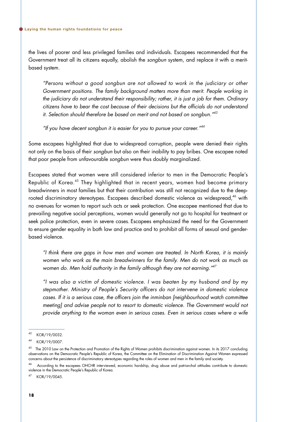the lives of poorer and less privileged families and individuals. Escapees recommended that the Government treat all its citizens equally, abolish the *songbun* system, and replace it with a meritbased system.

*"Persons without a good songbun are not allowed to work in the judiciary or other Government positions. The family background matters more than merit. People working in the judiciary do not understand their responsibility; rather, it is just a job for them. Ordinary citizens have to bear the cost because of their decisions but the officials do not understand it. Selection should therefore be based on merit and not based on songbun."43*

*"If you have decent songbun it is easier for you to pursue your career."44*

Some escapees highlighted that due to widespread corruption, people were denied their rights not only on the basis of their *songbun* but also on their inability to pay bribes. One escapee noted that poor people from unfavourable *songbun* were thus doubly marginalized.

Escapees stated that women were still considered inferior to men in the Democratic People's Republic of Korea.45 They highlighted that in recent years, women had become primary breadwinners in most families but that their contribution was still not recognized due to the deeprooted discriminatory stereotypes. Escapees described domestic violence as widespread,<sup>46</sup> with no avenues for women to report such acts or seek protection. One escapee mentioned that due to prevailing negative social perceptions, women would generally not go to hospital for treatment or seek police protection, even in severe cases. Escapees emphasized the need for the Government to ensure gender equality in both law and practice and to prohibit all forms of sexual and genderbased violence.

*"I think there are gaps in how men and women are treated. In North Korea, it is mainly women who work as the main breadwinners for the family. Men do not work as much as women do. Men hold authority in the family although they are not earning."47*

*"I was also a victim of domestic violence. I was beaten by my husband and by my stepmother. Ministry of People's Security officers do not intervene in domestic violence cases. If it is a serious case, the officers join the inminban [neighbourhood watch committee*  meeting] and advise people not to resort to domestic violence. The Government would not *provide anything to the woman even in serious cases. Even in serious cases where a wife* 

<sup>43</sup> KOR/19/0032.

<sup>44</sup> KOR/19/0007.

<sup>&</sup>lt;sup>45</sup> The 2010 Law on the Protection and Promotion of the Rights of Women prohibits discrimination against women. In its 2017 concluding observations on the Democratic People's Republic of Korea, the Committee on the Elimination of Discrimination Against Women expressed concerns about the persistence of discriminatory stereotypes regarding the roles of women and men in the family and society.

<sup>46</sup> According to the escapees OHCHR interviewed, economic hardship, drug abuse and patriarchal attitudes contribute to domestic violence in the Democratic People's Republic of Korea.

<sup>47</sup> KOR/19/0045.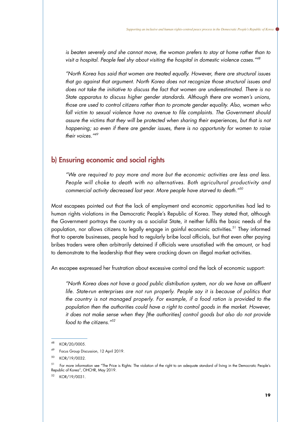*is beaten severely and she cannot move, the woman prefers to stay at home rather than to visit a hospital. People feel shy about visiting the hospital in domestic violence cases."48*

*"North Korea has said that women are treated equally. However, there are structural issues that go against that argument. North Korea does not recognize those structural issues and does not take the initiative to discuss the fact that women are underestimated. There is no State apparatus to discuss higher gender standards. Although there are women's unions, those are used to control citizens rather than to promote gender equality. Also, women who*  fall victim to sexual violence have no avenue to file complaints. The Government should *assure the victims that they will be protected when sharing their experiences, but that is not happening; so even if there are gender issues, there is no opportunity for women to raise their voices."49*

### b) Ensuring economic and social rights

*"We are required to pay more and more but the economic activities are less and less. People will choke to death with no alternatives. Both agricultural productivity and commercial activity decreased last year. More people have starved to death."50*

Most escapees pointed out that the lack of employment and economic opportunities had led to human rights violations in the Democratic People's Republic of Korea. They stated that, although the Government portrays the country as a socialist State, it neither fulfils the basic needs of the population, nor allows citizens to legally engage in gainful economic activities.<sup>51</sup> They informed that to operate businesses, people had to regularly bribe local officials, but that even after paying bribes traders were often arbitrarily detained if officials were unsatisfied with the amount, or had to demonstrate to the leadership that they were cracking down on illegal market activities.

An escapee expressed her frustration about excessive control and the lack of economic support:

*"North Korea does not have a good public distribution system, nor do we have an affluent life. State-run enterprises are not run properly. People say it is because of politics that the country is not managed properly. For example, if a food ration is provided to the*  population then the authorities could have a right to control goods in the market. However, *it does not make sense when they [the authorities] control goods but also do not provide food to the citizens."52*

52 KOR/19/0031.

<sup>48</sup> KOR/20/0005.

Focus Group Discussion, 12 April 2019.

<sup>50</sup> KOR/19/0032.

<sup>&</sup>lt;sup>51</sup> For more information see "The Price is Rights: The violation of the right to an adequate standard of living in the Democratic People's Republic of Korea", OHCHR, May 2019.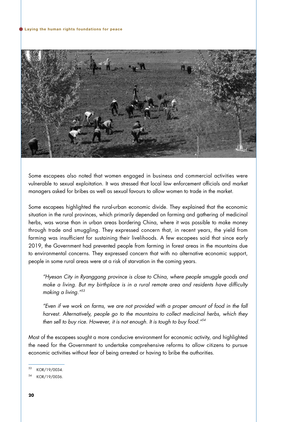

Some escapees also noted that women engaged in business and commercial activities were vulnerable to sexual exploitation. It was stressed that local law enforcement officials and market managers asked for bribes as well as sexual favours to allow women to trade in the market.

Some escapees highlighted the rural-urban economic divide. They explained that the economic situation in the rural provinces, which primarily depended on farming and gathering of medicinal herbs, was worse than in urban areas bordering China, where it was possible to make money through trade and smuggling. They expressed concern that, in recent years, the yield from farming was insufficient for sustaining their livelihoods. A few escapees said that since early 2019, the Government had prevented people from farming in forest areas in the mountains due to environmental concerns. They expressed concern that with no alternative economic support, people in some rural areas were at a risk of starvation in the coming years.

*"Hyesan City in Ryanggang province is close to China, where people smuggle goods and make a living. But my birthplace is in a rural remote area and residents have difficulty making a living."53*

*"Even if we work on farms, we are not provided with a proper amount of food in the fall harvest. Alternatively, people go to the mountains to collect medicinal herbs, which they then sell to buy rice. However, it is not enough. It is tough to buy food."54*

Most of the escapees sought a more conducive environment for economic activity, and highlighted the need for the Government to undertake comprehensive reforms to allow citizens to pursue economic activities without fear of being arrested or having to bribe the authorities.

<sup>53</sup> KOR/19/0034.

<sup>54</sup> KOR/19/0036.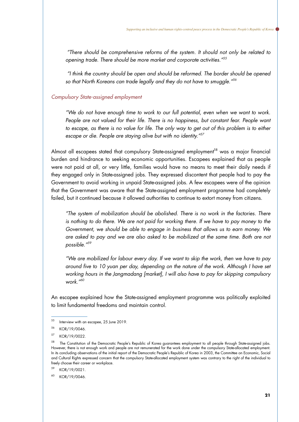*"There should be comprehensive reforms of the system. It should not only be related to opening trade. There should be more market and corporate activities."55*

 *"I think the country should be open and should be reformed. The border should be opened so that North Koreans can trade legally and they do not have to smuggle."56*

#### *Compulsory State-assigned employment*

*"We do not have enough time to work to our full potential, even when we want to work.*  People are not valued for their life. There is no happiness, but constant fear. People want to escape, as there is no value for life. The only way to get out of this problem is to either *escape or die. People are staying alive but with no identity."57*

Almost all escapees stated that compulsory State-assigned employment<sup>58</sup> was a major financial burden and hindrance to seeking economic opportunities. Escapees explained that as people were not paid at all, or very little, families would have no means to meet their daily needs if they engaged only in State-assigned jobs. They expressed discontent that people had to pay the Government to avoid working in unpaid State-assigned jobs. A few escapees were of the opinion that the Government was aware that the State-assigned employment programme had completely failed, but it continued because it allowed authorities to continue to extort money from citizens.

*"The system of mobilization should be abolished. There is no work in the factories. There*  is nothing to do there. We are not paid for working there. If we have to pay money to the *Government, we should be able to engage in business that allows us to earn money. We are asked to pay and we are also asked to be mobilized at the same time. Both are not possible."59*

*"We are mobilized for labour every day. If we want to skip the work, then we have to pay around five to 10 yuan per day, depending on the nature of the work. Although I have set working hours in the Jangmadang [market], I will also have to pay for skipping compulsory work."60*

An escapee explained how the State-assigned employment programme was politically exploited to limit fundamental freedoms and maintain control.

59 KOR/19/0021.

 $55$  Interview with an escapee, 25 June 2019.

<sup>56</sup> KOR/19/0046.

<sup>57</sup> KOR/19/0022.

 $58$  The Constitution of the Democratic People's Republic of Korea guarantees employment to all people through State-assigned jobs. However, there is not enough work and people are not remunerated for the work done under the compulsory State-allocated employment. In its concluding observations of the initial report of the Democratic People's Republic of Korea in 2003, the Committee on Economic, Social and Cultural Rights expressed concern that the compulsory State-allocated employment system was contrary to the right of the individual to freely choose their career or workplace.

<sup>60</sup> KOR/19/0046.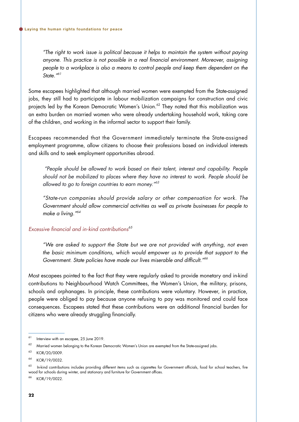*"The right to work issue is political because it helps to maintain the system without paying anyone. This practice is not possible in a real financial environment. Moreover, assigning people to a workplace is also a means to control people and keep them dependent on the State."61*

Some escapees highlighted that although married women were exempted from the State-assigned jobs, they still had to participate in labour mobilization campaigns for construction and civic projects led by the Korean Democratic Women's Union.<sup>62</sup> They noted that this mobilization was an extra burden on married women who were already undertaking household work, taking care of the children, and working in the informal sector to support their family.

Escapees recommended that the Government immediately terminate the State-assigned employment programme, allow citizens to choose their professions based on individual interests and skills and to seek employment opportunities abroad.

*"People should be allowed to work based on their talent, interest and capability. People should not be mobilized to places where they have no interest to work. People should be allowed to go to foreign countries to earn money."63*

*"State-run companies should provide salary or other compensation for work. The Government should allow commercial activities as well as private businesses for people to make a living."64*

#### *Excessive financial and in-kind contributions<sup>65</sup>*

*"We are asked to support the State but we are not provided with anything, not even the basic minimum conditions, which would empower us to provide that support to the Government. State policies have made our lives miserable and difficult."66*

Most escapees pointed to the fact that they were regularly asked to provide monetary and in-kind contributions to Neighbourhood Watch Committees, the Women's Union, the military, prisons, schools and orphanages. In principle, these contributions were voluntary. However, in practice, people were obliged to pay because anyone refusing to pay was monitored and could face consequences. Escapees stated that these contributions were an additional financial burden for citizens who were already struggling financially.

66 KOR/19/0022.

 $61$  Interview with an escapee, 25 June 2019.

<sup>&</sup>lt;sup>62</sup> Married women belonging to the Korean Democratic Women's Union are exempted from the State-assigned jobs.

<sup>63</sup> KOR/20/0009.

<sup>64</sup> KOR/19/0032.

 $65$  In-kind contributions includes providing different items such as cigarettes for Government officials, food for school teachers, fire wood for schools during winter, and stationary and furniture for Government offices.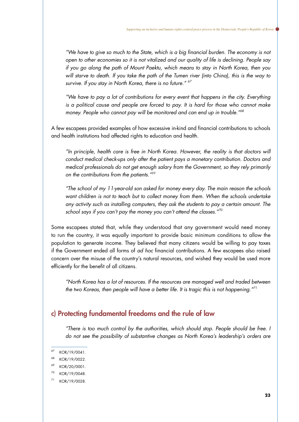*"We have to give so much to the State, which is a big financial burden. The economy is not open to other economies so it is not vitalized and our quality of life is declining. People say if you go along the path of Mount Paektu, which means to stay in North Korea, then you*  will starve to death. If you take the path of the Tumen river (into China), this is the way to *survive. If you stay in North Korea, there is no future." 67*

*"We have to pay a lot of contributions for every event that happens in the city. Everything*  is a political cause and people are forced to pay. It is hard for those who cannot make *money. People who cannot pay will be monitored and can end up in trouble."68*

A few escapees provided examples of how excessive in-kind and financial contributions to schools and health institutions had affected rights to education and health.

*"In principle, health care is free in North Korea. However, the reality is that doctors will conduct medical check-ups only after the patient pays a monetary contribution. Doctors and medical professionals do not get enough salary from the Government, so they rely primarily on the contributions from the patients." 69*

*"The school of my 11-year-old son asked for money every day. The main reason the schools want children is not to teach but to collect money from them. When the schools undertake any activity such as installing computers, they ask the students to pay a certain amount. The school says if you can't pay the money you can't attend the classes."70*

Some escapees stated that, while they understood that any government would need money to run the country, it was equally important to provide basic minimum conditions to allow the population to generate income. They believed that many citizens would be willing to pay taxes if the Government ended all forms of *ad hoc* financial contributions. A few escapees also raised concern over the misuse of the country's natural resources, and wished they would be used more efficiently for the benefit of all citizens.

*"North Korea has a lot of resources. If the resources are managed well and traded between the two Koreas, then people will have a better life. It is tragic this is not happening." 71*

# c) Protecting fundamental freedoms and the rule of law

*"There is too much control by the authorities, which should stop. People should be free. I do not see the possibility of substantive changes as North Korea's leadership's orders are* 

 $67$  KOR/19/0041.

<sup>68</sup> KOR/19/0022.

<sup>&</sup>lt;sup>69</sup> KOR/20/0001.

<sup>70</sup> KOR/19/0048.

<sup>71</sup> KOR/19/0028.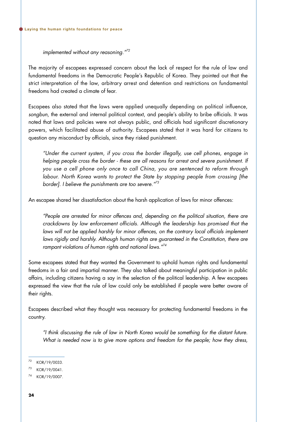*implemented without any reasoning."72*

The majority of escapees expressed concern about the lack of respect for the rule of law and fundamental freedoms in the Democratic People's Republic of Korea. They pointed out that the strict interpretation of the law, arbitrary arrest and detention and restrictions on fundamental freedoms had created a climate of fear.

Escapees also stated that the laws were applied unequally depending on political influence, *songbun*, the external and internal political context, and people's ability to bribe officials. It was noted that laws and policies were not always public, and officials had significant discretionary powers, which facilitated abuse of authority. Escapees stated that it was hard for citizens to question any misconduct by officials, since they risked punishment.

*"Under the current system, if you cross the border illegally, use cell phones, engage in helping people cross the border - these are all reasons for arrest and severe punishment. If you use a cell phone only once to call China, you are sentenced to reform through labour. North Korea wants to protect the State by stopping people from crossing [the border]. I believe the punishments are too severe."73*

An escapee shared her dissatisfaction about the harsh application of laws for minor offences:

*"People are arrested for minor offences and, depending on the political situation, there are crackdowns by law enforcement officials. Although the leadership has promised that the*  laws will not be applied harshly for minor offences, on the contrary local officials implement *laws rigidly and harshly. Although human rights are guaranteed in the Constitution, there are rampant violations of human rights and national laws."74*

Some escapees stated that they wanted the Government to uphold human rights and fundamental freedoms in a fair and impartial manner. They also talked about meaningful participation in public affairs, including citizens having a say in the selection of the political leadership. A few escapees expressed the view that the rule of law could only be established if people were better aware of their rights.

Escapees described what they thought was necessary for protecting fundamental freedoms in the country.

*"I think discussing the rule of law in North Korea would be something for the distant future. What is needed now is to give more options and freedom for the people; how they dress,* 

<sup>72</sup> KOR/19/0033.

<sup>73</sup> KOR/19/0041.

<sup>74</sup> KOR/19/0007.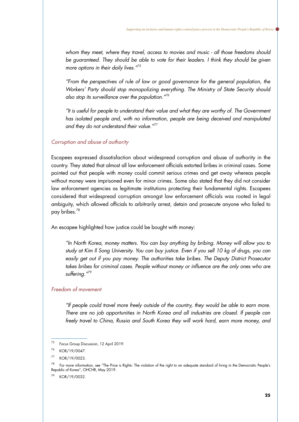*whom they meet, where they travel, access to movies and music - all those freedoms should be guaranteed. They should be able to vote for their leaders. I think they should be given more options in their daily lives."75*

*"From the perspectives of rule of law or good governance for the general population, the Workers' Party should stop monopolizing everything. The Ministry of State Security should also stop its surveillance over the population."76*

*"It is useful for people to understand their value and what they are worthy of. The Government*  has *isolated people and, with no information, people are being deceived and manipulated and they do not understand their value."77*

#### *Corruption and abuse of authority*

Escapees expressed dissatisfaction about widespread corruption and abuse of authority in the country. They stated that almost all law enforcement officials extorted bribes in criminal cases. Some pointed out that people with money could commit serious crimes and get away whereas people without money were imprisoned even for minor crimes. Some also stated that they did not consider law enforcement agencies as legitimate institutions protecting their fundamental rights. Escapees considered that widespread corruption amongst law enforcement officials was rooted in legal ambiguity, which allowed officials to arbitrarily arrest, detain and prosecute anyone who failed to pay bribes.<sup>78</sup>

An escapee highlighted how justice could be bought with money:

*"In North Korea, money matters. You can buy anything by bribing. Money will allow you to study at Kim Il Song University. You can buy justice. Even if you sell 10 kg of drugs, you can easily get out if you pay money. The authorities take bribes. The Deputy District Prosecutor takes bribes for criminal cases. People without money or influence are the only ones who are suffering."79*

#### *Freedom of movement*

*"If people could travel more freely outside of the country, they would be able to earn more. There are no job opportunities in North Korea and all industries are closed. If people can freely travel to China, Russia and South Korea they will work hard, earn more money, and* 

KOR/19/0032.

<sup>75</sup> Focus Group Discussion, 12 April 2019.

<sup>76</sup> KOR/19/0047.

<sup>77</sup> KOR/19/0023.

<sup>&</sup>lt;sup>78</sup> For more information, see "The Price is Rights: The violation of the right to an adequate standard of living in the Democratic People's Republic of Korea", OHCHR, May 2019.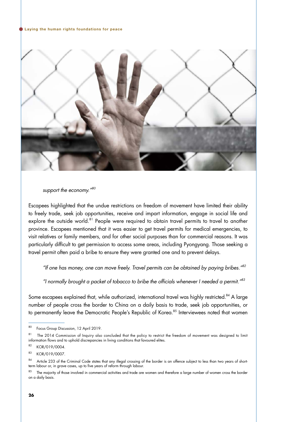#### Laying the human rights foundations for peace



*support the economy."80*

Escapees highlighted that the undue restrictions on freedom of movement have limited their ability to freely trade, seek job opportunities, receive and impart information, engage in social life and explore the outside world.<sup>81</sup> People were required to obtain travel permits to travel to another province. Escapees mentioned that it was easier to get travel permits for medical emergencies, to visit relatives or family members, and for other social purposes than for commercial reasons. It was particularly difficult to get permission to access some areas, including Pyongyang. Those seeking a travel permit often paid a bribe to ensure they were granted one and to prevent delays.

*"If one has money, one can move freely. Travel permits can be obtained by paying bribes."82*

*"I normally brought a packet of tobacco to bribe the officials whenever I needed a permit."83*

Some escapees explained that, while authorized, international travel was highly restricted.<sup>84</sup> A large number of people cross the border to China on a daily basis to trade, seek job opportunities, or to permanently leave the Democratic People's Republic of Korea.<sup>85</sup> Interviewees noted that women

82 KOR/019/0004.

<sup>80</sup> Focus Group Discussion, 12 April 2019.

<sup>&</sup>lt;sup>81</sup> The 2014 Commission of Inquiry also concluded that the policy to restrict the freedom of movement was designed to limit information flows and to uphold discrepancies in living conditions that favoured elites.

<sup>83</sup> KOR/019/0007.

<sup>84</sup> Article 233 of the Criminal Code states that any illegal crossing of the border is an offence subject to less than two years of shortterm labour or, in grave cases, up to five years of reform through labour.

The majority of those involved in commercial activities and trade are women and therefore a large number of women cross the border on a daily basis.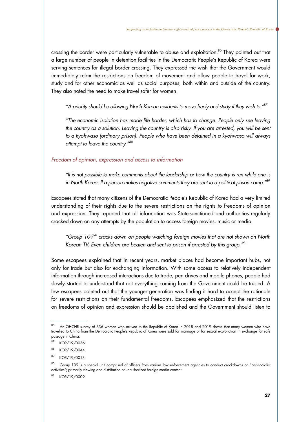crossing the border were particularly vulnerable to abuse and exploitation.<sup>86</sup> They pointed out that a large number of people in detention facilities in the Democratic People's Republic of Korea were serving sentences for illegal border crossing. They expressed the wish that the Government would immediately relax the restrictions on freedom of movement and allow people to travel for work, study and for other economic as well as social purposes, both within and outside of the country. They also noted the need to make travel safer for women.

*"A priority should be allowing North Korean residents to move freely and study if they wish to."87*

*"The economic isolation has made life harder, which has to change. People only see leaving the country as a solution. Leaving the country is also risky. If you are arrested, you will be sent to a kyohwaso (ordinary prison). People who have been detained in a kyohwaso will always attempt to leave the country."88*

#### *Freedom of opinion, expression and access to information*

*"It is not possible to make comments about the leadership or how the country is run while one is in North Korea. If a person makes negative comments they are sent to a political prison camp."89*

Escapees stated that many citizens of the Democratic People's Republic of Korea had a very limited understanding of their rights due to the severe restrictions on the rights to freedoms of opinion and expression. They reported that all information was State-sanctioned and authorities regularly cracked down on any attempts by the population to access foreign movies, music or media.

*"Group 10990 cracks down on people watching foreign movies that are not shown on North Korean TV. Even children are beaten and sent to prison if arrested by this group."91*

Some escapees explained that in recent years, market places had become important hubs, not only for trade but also for exchanging information. With some access to relatively independent information through increased interactions due to trade, pen drives and mobile phones, people had slowly started to understand that not everything coming from the Government could be trusted. A few escapees pointed out that the younger generation was finding it hard to accept the rationale for severe restrictions on their fundamental freedoms. Escapees emphasized that the restrictions on freedoms of opinion and expression should be abolished and the Government should listen to

KOR/19/0009.

<sup>86</sup> An OHCHR survey of 636 women who arrived to the Republic of Korea in 2018 and 2019 shows that many women who have travelled to China from the Democratic People's Republic of Korea were sold for marriage or for sexual exploitation in exchange for safe passage in China.

<sup>87</sup> KOR/19/0036.

<sup>88</sup> KOR/19/0044.

<sup>89</sup> KOR/19/0013.

<sup>&</sup>lt;sup>90</sup> Group 109 is a special unit comprised of officers from various law enforcement agencies to conduct crackdowns on "anti-socialist activities"; primarily viewing and distribution of unauthorized foreign media content.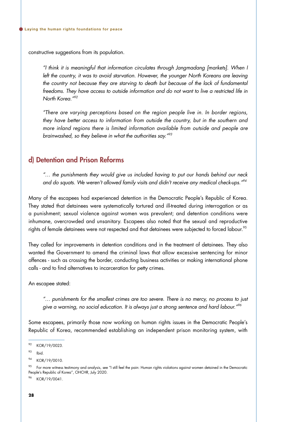constructive suggestions from its population.

*"I think it is meaningful that information circulates through Jangmadang [markets]. When I*  left the country, it was to avoid starvation. However, the younger North Koreans are leaving *the country not because they are starving to death but because of the lack of fundamental freedoms. They have access to outside information and do not want to live a restricted life in North Korea."92*

*"There are varying perceptions based on the region people live in. In border regions, they have better access to information from outside the country, but in the southern and more inland regions there is limited information available from outside and people are brainwashed, so they believe in what the authorities say."93*

### d) Detention and Prison Reforms

*"… the punishments they would give us included having to put our hands behind our neck and do squats. We weren't allowed family visits and didn't receive any medical check-ups."94*

Many of the escapees had experienced detention in the Democratic People's Republic of Korea. They stated that detainees were systematically tortured and ill-treated during interrogation or as a punishment; sexual violence against women was prevalent; and detention conditions were inhumane, overcrowded and unsanitary. Escapees also noted that the sexual and reproductive rights of female detainees were not respected and that detainees were subjected to forced labour.<sup>95</sup>

They called for improvements in detention conditions and in the treatment of detainees. They also wanted the Government to amend the criminal laws that allow excessive sentencing for minor offences - such as crossing the border, conducting business activities or making international phone calls - and to find alternatives to incarceration for petty crimes.

An escapee stated:

*"… punishments for the smallest crimes are too severe. There is no mercy, no process to just give a warning, no social education. It is always just a strong sentence and hard labour."96*

Some escapees, primarily those now working on human rights issues in the Democratic People's Republic of Korea, recommended establishing an independent prison monitoring system, with

96 KOR/19/0041.

<sup>92</sup> KOR/19/0023.

 $93$  Ibid

<sup>94</sup> KOR/19/0010.

<sup>&</sup>lt;sup>95</sup> For more witness testimony and analysis, see "I still feel the pain: Human rights violations against women detained in the Democratic People's Republic of Korea", OHCHR, July 2020.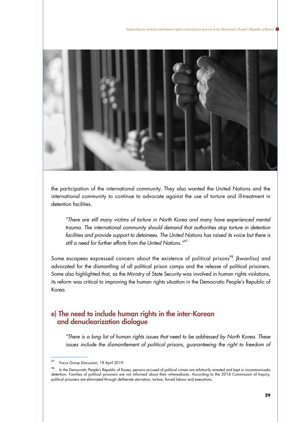

the participation of the international community. They also wanted the United Nations and the international community to continue to advocate against the use of torture and ill-treatment in detention facilities.

*"There are still many victims of torture in North Korea and many have experienced mental trauma. The international community should demand that authorities stop torture in detention*  facilities and provide support to detainees. The United Nations has raised its voice but there is *still a need for further efforts from the United Nations."97*

Some escapees expressed concern about the existence of political prisons<sup>98</sup> (kwanliso) and advocated for the dismantling of all political prison camps and the release of political prisoners. Some also highlighted that, as the Ministry of State Security was involved in human rights violations, its reform was critical to improving the human rights situation in the Democratic People's Republic of Korea.

### e) The need to include human rights in the inter-Korean and denuclearization dialogue

*"There is a long list of human rights issues that need to be addressed by North Korea. These*  issues include the dismantlement of political prisons, guaranteeing the right to freedom of

<sup>97</sup> Focus Group Discussion, 18 April 2019.

<sup>98</sup> In the Democratic People's Republic of Korea, persons accused of political crimes are arbitrarily arrested and kept in incommunicado detention. Families of political prisoners are not informed about their whereabouts. According to the 2014 Commission of Inquiry, political prisoners are eliminated through deliberate starvation, torture, forced labour and executions.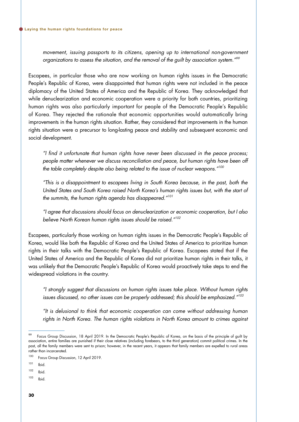*movement, issuing passports to its citizens, opening up to international non-government organizations to assess the situation, and the removal of the guilt by association system."99*

Escapees, in particular those who are now working on human rights issues in the Democratic People's Republic of Korea, were disappointed that human rights were not included in the peace diplomacy of the United States of America and the Republic of Korea. They acknowledged that while denuclearization and economic cooperation were a priority for both countries, prioritizing human rights was also particularly important for people of the Democratic People's Republic of Korea. They rejected the rationale that economic opportunities would automatically bring improvements in the human rights situation. Rather, they considered that improvements in the human rights situation were a precursor to long-lasting peace and stability and subsequent economic and social development.

*"I find it unfortunate that human rights have never been discussed in the peace process; people matter whenever we discuss reconciliation and peace, but human rights have been off the table completely despite also being related to the issue of nuclear weapons."100*

*"This is a disappointment to escapees living in South Korea because, in the past, both the United States and South Korea raised North Korea's human rights issues but, with the start of the summits, the human rights agenda has disappeared."101*

*"I agree that discussions should focus on denuclearization or economic cooperation, but I also believe North Korean human rights issues should be raised."102*

Escapees, particularly those working on human rights issues in the Democratic People's Republic of Korea, would like both the Republic of Korea and the United States of America to prioritize human rights in their talks with the Democratic People's Republic of Korea. Escapees stated that if the United States of America and the Republic of Korea did not prioritize human rights in their talks, it was unlikely that the Democratic People's Republic of Korea would proactively take steps to end the widespread violations in the country.

*"I strongly suggest that discussions on human rights issues take place. Without human rights issues discussed, no other issues can be properly addressed; this should be emphasized."103*

*"It is delusional to think that economic cooperation can come without addressing human*  rights in North Korea. The human rights violations in North Korea amount to crimes against

 $103$  Ibid.

Focus Group Discussion, 18 April 2019. In the Democratic People's Republic of Korea, on the basis of the principle of guilt by association, entire families are punished if their close relatives (including forebears, to the third generation) commit political crimes. In the past, all the family members were sent to prison; however, in the recent years, it appears that family members are expelled to rural areas rather than incarcerated.

<sup>100</sup> Focus Group Discussion, 12 April 2019.

 $101$  Ibid.

 $102$  Ibid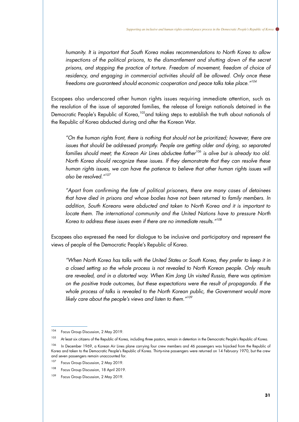*humanity. It is important that South Korea makes recommendations to North Korea to allow*  inspections of the political prisons, to the dismantlement and shutting down of the secret *prisons, and stopping the practice of torture. Freedom of movement, freedom of choice of residency, and engaging in commercial activities should all be allowed. Only once these freedoms are guaranteed should economic cooperation and peace talks take place."104*

Escapees also underscored other human rights issues requiring immediate attention, such as the resolution of the issue of separated families, the release of foreign nationals detained in the Democratic People's Republic of Korea,<sup>105</sup>and taking steps to establish the truth about nationals of the Republic of Korea abducted during and after the Korean War.

*"On the human rights front, there is nothing that should not be prioritized; however, there are issues that should be addressed promptly. People are getting older and dying, so separated*  families should meet; the Korean Air Lines abductee father<sup>106</sup> is alive but is already too old. *North Korea should recognize these issues. If they demonstrate that they can resolve these human rights issues, we can have the patience to believe that other human rights issues will also be resolved."107*

*"Apart from confirming the fate of political prisoners, there are many cases of detainees that have died in prisons and whose bodies have not been returned to family members. In addition, South Koreans were abducted and taken to North Korea and it is important to locate them. The international community and the United Nations have to pressure North Korea to address these issues even if there are no immediate results."108*

Escapees also expressed the need for dialogue to be inclusive and participatory and represent the views of people of the Democratic People's Republic of Korea.

*"When North Korea has talks with the United States or South Korea, they prefer to keep it in a closed setting so the whole process is not revealed to North Korean people. Only results are revealed, and in a distorted way. When Kim Jong Un visited Russia, there was optimism on the positive trade outcomes, but these expectations were the result of propaganda. If the whole process of talks is revealed to the North Korean public, the Government would more likely care about the people's views and listen to them."109*

<sup>104</sup> Focus Group Discussion, 2 May 2019.

<sup>&</sup>lt;sup>105</sup> At least six citizens of the Republic of Korea, including three pastors, remain in detention in the Democratic People's Republic of Korea.

<sup>&</sup>lt;sup>106</sup> In December 1969, a Korean Air Lines plane carrying four crew members and 46 passengers was hijacked from the Republic of Korea and taken to the Democratic People's Republic of Korea. Thirty-nine passengers were returned on 14 February 1970, but the crew and seven passengers remain unaccounted for.

<sup>&</sup>lt;sup>107</sup> Focus Group Discussion, 2 May 2019.

<sup>108</sup> Focus Group Discussion, 18 April 2019.

<sup>109</sup> Focus Group Discussion, 2 May 2019.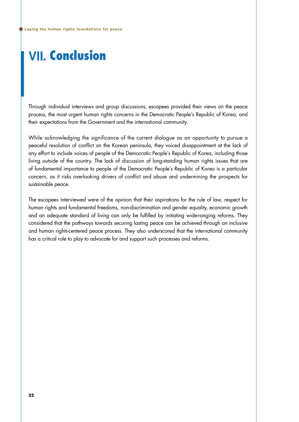# **Ⅶ.** Conclusion

Through individual interviews and group discussions, escapees provided their views on the peace process, the most urgent human rights concerns in the Democratic People's Republic of Korea, and their expectations from the Government and the international community.

While acknowledging the significance of the current dialogue as an opportunity to pursue a peaceful resolution of conflict on the Korean peninsula, they voiced disappointment at the lack of any effort to include voices of people of the Democratic People's Republic of Korea, including those living outside of the country. The lack of discussion of long-standing human rights issues that are of fundamental importance to people of the Democratic People's Republic of Korea is a particular concern, as it risks overlooking drivers of conflict and abuse and undermining the prospects for sustainable peace.

The escapees interviewed were of the opinion that their aspirations for the rule of law, respect for human rights and fundamental freedoms, non-discrimination and gender equality, economic growth and an adequate standard of living can only be fulfilled by initiating wide-ranging reforms. They considered that the pathways towards securing lasting peace can be achieved through an inclusive and human rights-centered peace process. They also underscored that the international community has a critical role to play to advocate for and support such processes and reforms.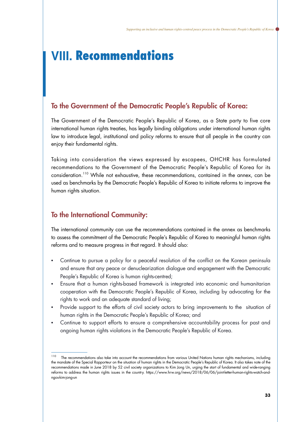# **Ⅷ.** Recommendations

### To the Government of the Democratic People's Republic of Korea:

The Government of the Democratic People's Republic of Korea, as a State party to five core international human rights treaties, has legally binding obligations under international human rights law to introduce legal, institutional and policy reforms to ensure that all people in the country can enjoy their fundamental rights.

Taking into consideration the views expressed by escapees, OHCHR has formulated recommendations to the Government of the Democratic People's Republic of Korea for its consideration.<sup>110</sup> While not exhaustive, these recommendations, contained in the annex, can be used as benchmarks by the Democratic People's Republic of Korea to initiate reforms to improve the human rights situation.

## To the International Community:

The international community can use the recommendations contained in the annex as benchmarks to assess the commitment of the Democratic People's Republic of Korea to meaningful human rights reforms and to measure progress in that regard. It should also:

- Continue to pursue a policy for a peaceful resolution of the conflict on the Korean peninsula and ensure that any peace or denuclearization dialogue and engagement with the Democratic People's Republic of Korea is human rights-centred;
- Ensure that a human rights-based framework is integrated into economic and humanitarian cooperation with the Democratic People's Republic of Korea, including by advocating for the rights to work and an adequate standard of living;
- Provide support to the efforts of civil society actors to bring improvements to the situation of human rights in the Democratic People's Republic of Korea; and
- Continue to support efforts to ensure a comprehensive accountability process for past and ongoing human rights violations in the Democratic People's Republic of Korea.

<sup>&</sup>lt;sup>110</sup> The recommendations also take into account the recommendations from various United Nations human rights mechanisms, including the mandate of the Special Rapporteur on the situation of human rights in the Democratic People's Republic of Korea. It also takes note of the recommendations made in June 2018 by 52 civil society organizations to Kim Jong Un, urging the start of fundamental and wide-ranging reforms to address the human rights issues in the country. [https://www.hrw.org/news/2018/06/06/joint-letter-human-rights-watch-and](https://www.hrw.org/news/2018/06/06/joint-letter-human-rights-watch-and-ngos-kim-jong-un)[ngos-kim-jong-un](https://www.hrw.org/news/2018/06/06/joint-letter-human-rights-watch-and-ngos-kim-jong-un)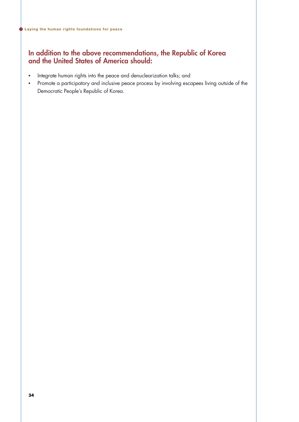### In addition to the above recommendations, the Republic of Korea and the United States of America should:

- Integrate human rights into the peace and denuclearization talks; and
- • Promote a participatory and inclusive peace process by involving escapees living outside of the Democratic People's Republic of Korea.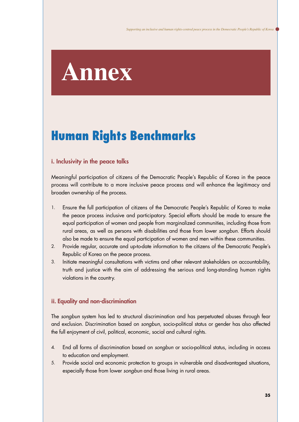# **Annex**

# Human Rights Benchmarks

#### **ⅰ.** Inclusivity in the peace talks

Meaningful participation of citizens of the Democratic People's Republic of Korea in the peace process will contribute to a more inclusive peace process and will enhance the legitimacy and broaden ownership of the process.

- Ensure the full participation of citizens of the Democratic People's Republic of Korea to make the peace process inclusive and participatory. Special efforts should be made to ensure the equal participation of women and people from marginalized communities, including those from rural areas, as well as persons with disabilities and those from lower *songbun*. Efforts should also be made to ensure the equal participation of women and men within these communities. 1.
- Provide regular, accurate and up-to-date information to the citizens of the Democratic People's Republic of Korea on the peace process. 2.
- Initiate meaningful consultations with victims and other relevant stakeholders on accountability, truth and justice with the aim of addressing the serious and long-standing human rights violations in the country. 3.

#### **ⅱ.** Equality and non-discrimination

The *songbun* system has led to structural discrimination and has perpetuated abuses through fear and exclusion. Discrimination based on *songbun*, socio-political status or gender has also affected the full enjoyment of civil, political, economic, social and cultural rights.

- End all forms of discrimination based on *songbun* or socio-political status, including in access to education and employment. 4.
- Provide social and economic protection to groups in vulnerable and disadvantaged situations, especially those from lower *songbun* and those living in rural areas. 5.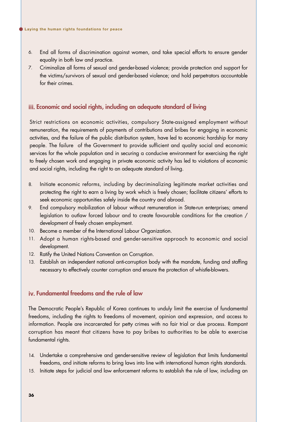- End all forms of discrimination against women, and take special efforts to ensure gender equality in both law and practice. 6.
- Criminalize all forms of sexual and gender-based violence; provide protection and support for the victims/survivors of sexual and gender-based violence; and hold perpetrators accountable for their crimes. 7.

#### **ⅲ.** Economic and social rights, including an adequate standard of living

Strict restrictions on economic activities, compulsory State-assigned employment without remuneration, the requirements of payments of contributions and bribes for engaging in economic activities, and the failure of the public distribution system, have led to economic hardship for many people. The failure of the Government to provide sufficient and quality social and economic services for the whole population and in securing a conducive environment for exercising the right to freely chosen work and engaging in private economic activity has led to violations of economic and social rights, including the right to an adequate standard of living.

- Initiate economic reforms, including by decriminalizing legitimate market activities and protecting the right to earn a living by work which is freely chosen; facilitate citizens' efforts to seek economic opportunities safely inside the country and abroad. 8.
- End compulsory mobilization of labour without remuneration in State-run enterprises; amend legislation to outlaw forced labour and to create favourable conditions for the creation / development of freely chosen employment. 9.
- 10. Become a member of the International Labour Organization.
- 11. Adopt a human rights-based and gender-sensitive approach to economic and social development.
- 12. Ratify the United Nations Convention on Corruption.
- Establish an independent national anti-corruption body with the mandate, funding and staffing 13. necessary to effectively counter corruption and ensure the protection of whistle-blowers.

#### **ⅳ.** Fundamental freedoms and the rule of law

The Democratic People's Republic of Korea continues to unduly limit the exercise of fundamental freedoms, including the rights to freedoms of movement, opinion and expression, and access to information. People are incarcerated for petty crimes with no fair trial or due process. Rampant corruption has meant that citizens have to pay bribes to authorities to be able to exercise fundamental rights.

- 14. Undertake a comprehensive and gender-sensitive review of legislation that limits fundamental freedoms, and initiate reforms to bring laws into line with international human rights standards.
- 15. Initiate steps for judicial and law enforcement reforms to establish the rule of law, including an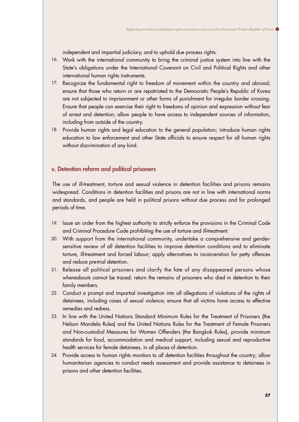independent and impartial judiciary, and to uphold due process rights.

- Work with the international community to bring the criminal justice system into line with the 16. State's obligations under the International Covenant on Civil and Political Rights and other international human rights instruments.
- 17. Recognize the fundamental right to freedom of movement within the country and abroad; ensure that those who return or are repatriated to the Democratic People's Republic of Korea are not subjected to imprisonment or other forms of punishment for irregular border crossing. Ensure that people can exercise their right to freedoms of opinion and expression without fear of arrest and detention; allow people to have access to independent sources of information, including from outside of the country.
- Provide human rights and legal education to the general population; introduce human rights 18. education to law enforcement and other State officials to ensure respect for all human rights without discrimination of any kind.

### **ⅴ.** Detention reform and political prisoners

The use of ill-treatment, torture and sexual violence in detention facilities and prisons remains widespread. Conditions in detention facilities and prisons are not in line with international norms and standards, and people are held in political prisons without due process and for prolonged periods of time.

- Issue an order from the highest authority to strictly enforce the provisions in the Criminal Code 19. and Criminal Procedure Code prohibiting the use of torture and ill-treatment.
- With support from the international community, undertake a comprehensive and gender-20. sensitive review of all detention facilities to improve detention conditions and to eliminate torture, ill-treatment and forced labour; apply alternatives to incarceration for petty offences and reduce pre-trial detention.
- Release all political prisoners and clarify the fate of any disappeared persons whose 21. whereabouts cannot be traced; return the remains of prisoners who died in detention to their family members.
- Conduct a prompt and impartial investigation into all allegations of violations of the rights of 22. detainees, including cases of sexual violence; ensure that all victims have access to effective remedies and redress.
- 23. In line with the United Nations Standard Minimum Rules for the Treatment of Prisoners (the Nelson Mandela Rules) and the United Nations Rules for the Treatment of Female Prisoners and Non-custodial Measures for Women Offenders (the Bangkok Rules), provide minimum standards for food, accommodation and medical support, including sexual and reproductive health services for female detainees, in all places of detention.
- Provide access to human rights monitors to all detention facilities throughout the country; allow 24.humanitarian agencies to conduct needs assessment and provide assistance to detainees in prisons and other detention facilities.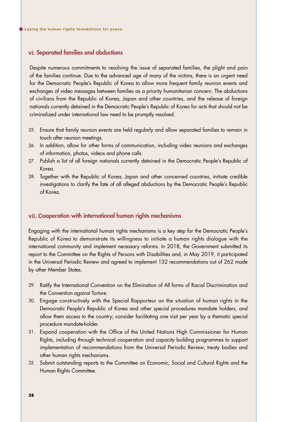#### **ⅵ.** Separated families and abductions

Despite numerous commitments to resolving the issue of separated families, the plight and pain of the families continue. Due to the advanced age of many of the victims, there is an urgent need for the Democratic People's Republic of Korea to allow more frequent family reunion events and exchanges of video messages between families as a priority humanitarian concern. The abductions of civilians from the Republic of Korea, Japan and other countries, and the release of foreign nationals currently detained in the Democratic People's Republic of Korea for acts that should not be criminalized under international law need to be promptly resolved.

- Ensure that family reunion events are held regularly and allow separated families to remain in 25. touch after reunion meetings.
- 26. In addition, allow for other forms of communication, including video reunions and exchanges of information, photos, videos and phone calls.
- 27. Publish a list of all foreign nationals currently detained in the Democratic People's Republic of Korea.
- Together with the Republic of Korea, Japan and other concerned countries, initiate credible 28. investigations to clarify the fate of all alleged abductions by the Democratic People's Republic of Korea.

#### **ⅶ. C**ooperation with international human rights mechanisms

Engaging with the international human rights mechanisms is a key step for the Democratic People's Republic of Korea to demonstrate its willingness to initiate a human rights dialogue with the international community and implement necessary reforms. In 2018, the Government submitted its report to the Committee on the Rights of Persons with Disabilities and, in May 2019, it participated in the Universal Periodic Review and agreed to implement 132 recommendations out of 262 made by other Member States.

- 29. Ratify the International Convention on the Elimination of All forms of Racial Discrimination and the Convention against Torture.
- Engage constructively with the Special Rapporteur on the situation of human rights in the 30. Democratic People's Republic of Korea and other special procedures mandate holders, and allow them access to the country; consider facilitating one visit per year by a thematic special procedure mandate-holder.
- Expand cooperation with the Office of the United Nations High Commissioner for Human 31. Rights, including through technical cooperation and capacity building programmes to support implementation of recommendations from the Universal Periodic Review, treaty bodies and other human rights mechanisms.
- Submit outstanding reports to the Committee on Economic, Social and Cultural Rights and the 32.Human Rights Committee.